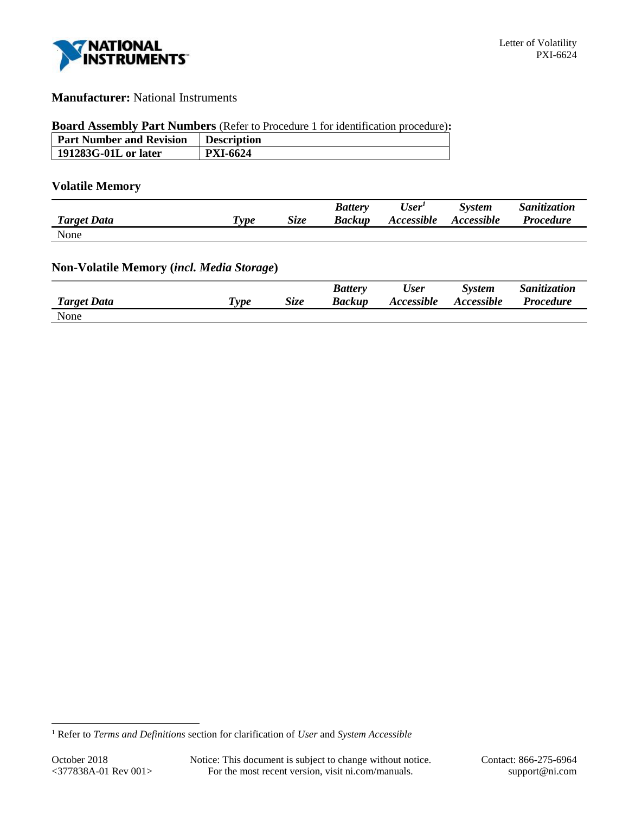

# **Manufacturer:** National Instruments

### **Board Assembly Part Numbers** (Refer to Procedure 1 for identification procedure)**:**

| <b>Part Number and Revision</b> | <b>Description</b> |
|---------------------------------|--------------------|
| 191283G-01L or later            | <b>PXI-6624</b>    |

# **Volatile Memory**

|                    |                       |      | <b>Battery</b> | User <sup>I</sup> | <b>System</b>     | Sanitization     |
|--------------------|-----------------------|------|----------------|-------------------|-------------------|------------------|
| <b>Target Data</b> | $T$ <sub>V</sub> $pe$ | Size | <b>Backup</b>  | Accessible        | <b>Accessible</b> | <b>Procedure</b> |
| None               |                       |      |                |                   |                   |                  |

# **Non-Volatile Memory (***incl. Media Storage***)**

|                    |                                    |      | <b>Battery</b> | User              | <b>System</b> | Sanitization     |
|--------------------|------------------------------------|------|----------------|-------------------|---------------|------------------|
| <b>Target Data</b> | $\boldsymbol{\tau}_{\textit{ype}}$ | Size | Backup         | <b>Accessible</b> | Accessible    | <b>Procedure</b> |
| None               |                                    |      |                |                   |               |                  |

l

<sup>1</sup> Refer to *Terms and Definitions* section for clarification of *User* and *System Accessible*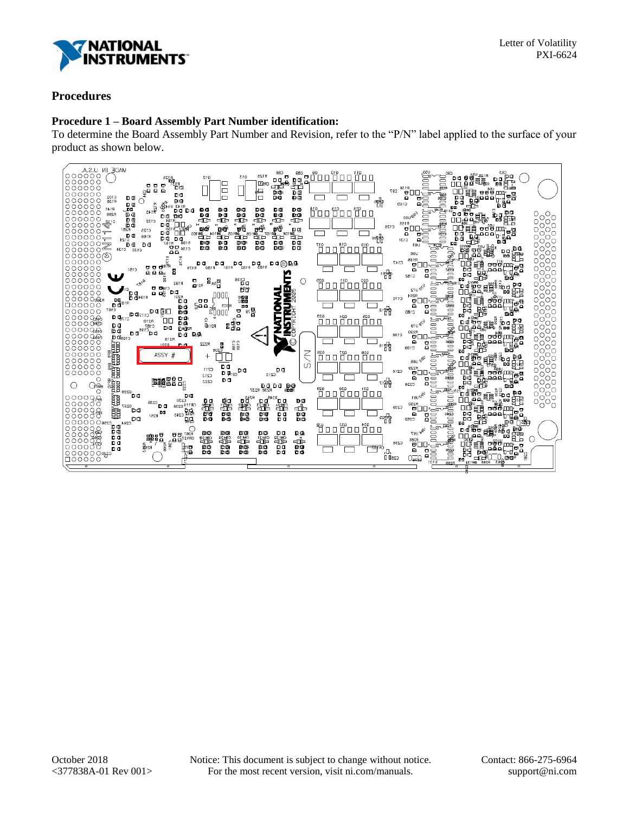

## **Procedures**

### **Procedure 1 – Board Assembly Part Number identification:**

To determine the Board Assembly Part Number and Revision, refer to the "P/N" label applied to the surface of your product as shown below.